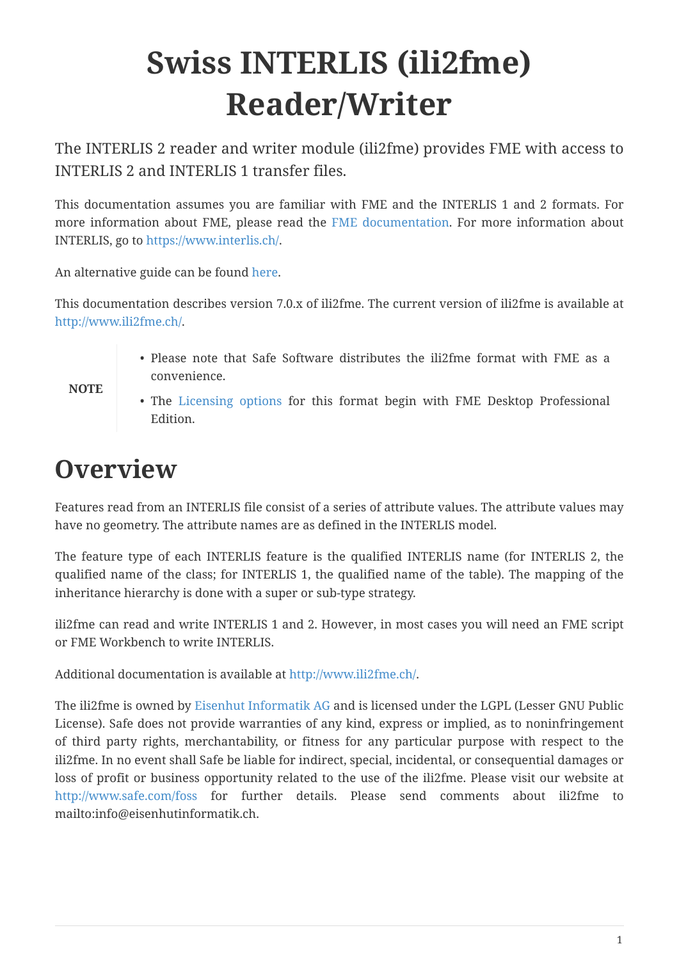# **Swiss INTERLIS (ili2fme) Reader/Writer**

The INTERLIS 2 reader and writer module (ili2fme) provides FME with access to INTERLIS 2 and INTERLIS 1 transfer files.

This documentation assumes you are familiar with FME and the INTERLIS 1 and 2 formats. For more information about FME, please read the [FME documentation.](https://knowledge.safe.com/page/documentation/index.html) For more information about INTERLIS, go to [https://www.interlis.ch/.](https://www.interlis.ch/)

An alternative guide can be found [here.](https://www.geo.admin.ch/de/geoinformation-schweiz/geobasisdaten/geodata-models.html)

This documentation describes version 7.0.x of ili2fme. The current version of ili2fme is available at <http://www.ili2fme.ch/>.

- Please note that Safe Software distributes the ili2fme format with FME as a convenience.
- The [Licensing options](https://www.safe.com/pricing/fme-desktop/) for this format begin with FME Desktop Professional Edition.

## **Overview**

**NOTE**

Features read from an INTERLIS file consist of a series of attribute values. The attribute values may have no geometry. The attribute names are as defined in the INTERLIS model.

The feature type of each INTERLIS feature is the qualified INTERLIS name (for INTERLIS 2, the qualified name of the class; for INTERLIS 1, the qualified name of the table). The mapping of the inheritance hierarchy is done with a super or sub-type strategy.

ili2fme can read and write INTERLIS 1 and 2. However, in most cases you will need an FME script or FME Workbench to write INTERLIS.

Additional documentation is available at <http://www.ili2fme.ch/>.

The ili2fme is owned by [Eisenhut Informatik AG](http://www.eisenhutinformatik.ch/) and is licensed under the LGPL (Lesser GNU Public License). Safe does not provide warranties of any kind, express or implied, as to noninfringement of third party rights, merchantability, or fitness for any particular purpose with respect to the ili2fme. In no event shall Safe be liable for indirect, special, incidental, or consequential damages or loss of profit or business opportunity related to the use of the ili2fme. Please visit our website at <http://www.safe.com/foss> for further details. Please send comments about ili2fme to mailto:info@eisenhutinformatik.ch.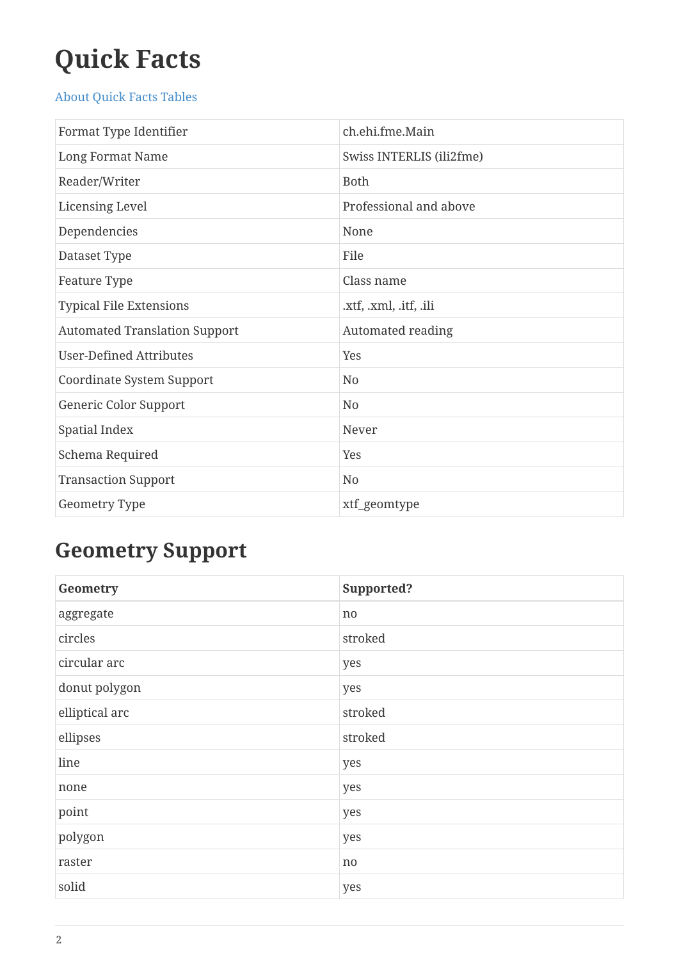# **Quick Facts**

#### [About Quick Facts Tables](https://docs.safe.com/fme/html/FME_Desktop_Documentation/FME_ReadersWriters/QuickFacts/about_quick_facts.htm)

| Format Type Identifier               | ch.ehi.fme.Main          |
|--------------------------------------|--------------------------|
| Long Format Name                     | Swiss INTERLIS (ili2fme) |
| Reader/Writer                        | <b>Both</b>              |
| <b>Licensing Level</b>               | Professional and above   |
| Dependencies                         | None                     |
| Dataset Type                         | File                     |
| Feature Type                         | Class name               |
| <b>Typical File Extensions</b>       | .xtf, .xml, .itf, .ili   |
| <b>Automated Translation Support</b> | Automated reading        |
| <b>User-Defined Attributes</b>       | Yes                      |
| Coordinate System Support            | N <sub>0</sub>           |
| Generic Color Support                | N <sub>0</sub>           |
| Spatial Index                        | Never                    |
| Schema Required                      | Yes                      |
| <b>Transaction Support</b>           | N <sub>0</sub>           |
| Geometry Type                        | xtf_geomtype             |

## **Geometry Support**

| Geometry       | Supported? |
|----------------|------------|
| aggregate      | no         |
| circles        | stroked    |
| circular arc   | yes        |
| donut polygon  | yes        |
| elliptical arc | stroked    |
| ellipses       | stroked    |
| line           | yes        |
| none           | yes        |
| point          | yes        |
| polygon        | yes        |
| raster         | no         |
| solid          | yes        |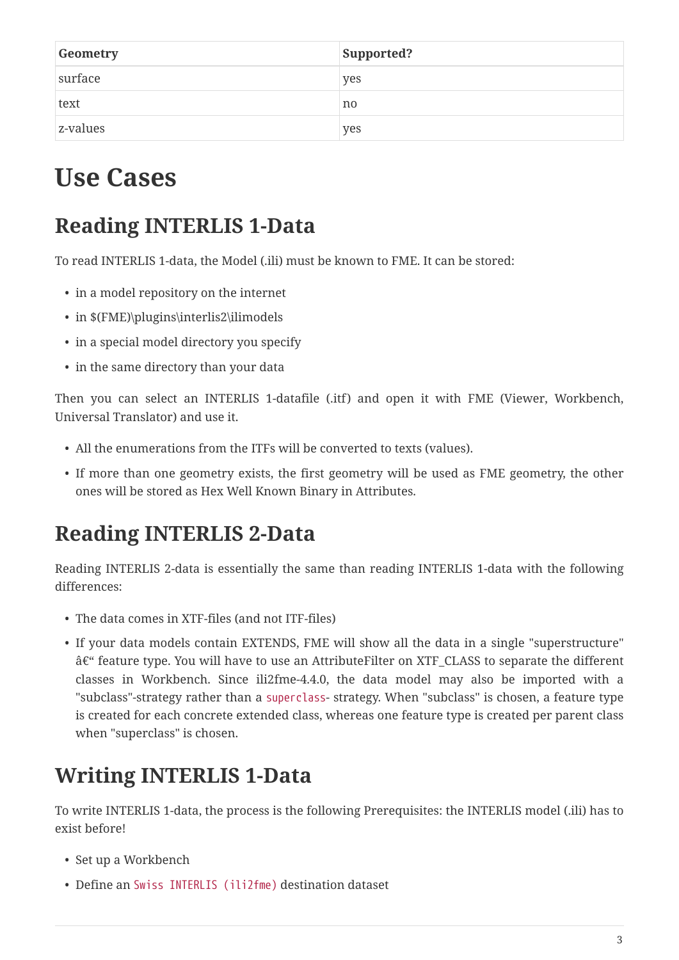| Geometry | Supported? |
|----------|------------|
| surface  | yes        |
| text     | no         |
| z-values | yes        |

## **Use Cases**

## **Reading INTERLIS 1-Data**

To read INTERLIS 1-data, the Model (.ili) must be known to FME. It can be stored:

- in a model repository on the internet
- in \$(FME)\plugins\interlis2\ilimodels
- in a special model directory you specify
- in the same directory than your data

Then you can select an INTERLIS 1-datafile (.itf) and open it with FME (Viewer, Workbench, Universal Translator) and use it.

- All the enumerations from the ITFs will be converted to texts (values).
- If more than one geometry exists, the first geometry will be used as FME geometry, the other ones will be stored as Hex Well Known Binary in Attributes.

## **Reading INTERLIS 2-Data**

Reading INTERLIS 2-data is essentially the same than reading INTERLIS 1-data with the following differences:

- The data comes in XTF-files (and not ITF-files)
- If your data models contain EXTENDS, FME will show all the data in a single "superstructure" â€" feature type. You will have to use an AttributeFilter on XTF\_CLASS to separate the different classes in Workbench. Since ili2fme-4.4.0, the data model may also be imported with a "subclass"-strategy rather than a superclass- strategy. When "subclass" is chosen, a feature type is created for each concrete extended class, whereas one feature type is created per parent class when "superclass" is chosen.

## **Writing INTERLIS 1-Data**

To write INTERLIS 1-data, the process is the following Prerequisites: the INTERLIS model (.ili) has to exist before!

- Set up a Workbench
- Define an Swiss INTERLIS (ili2fme) destination dataset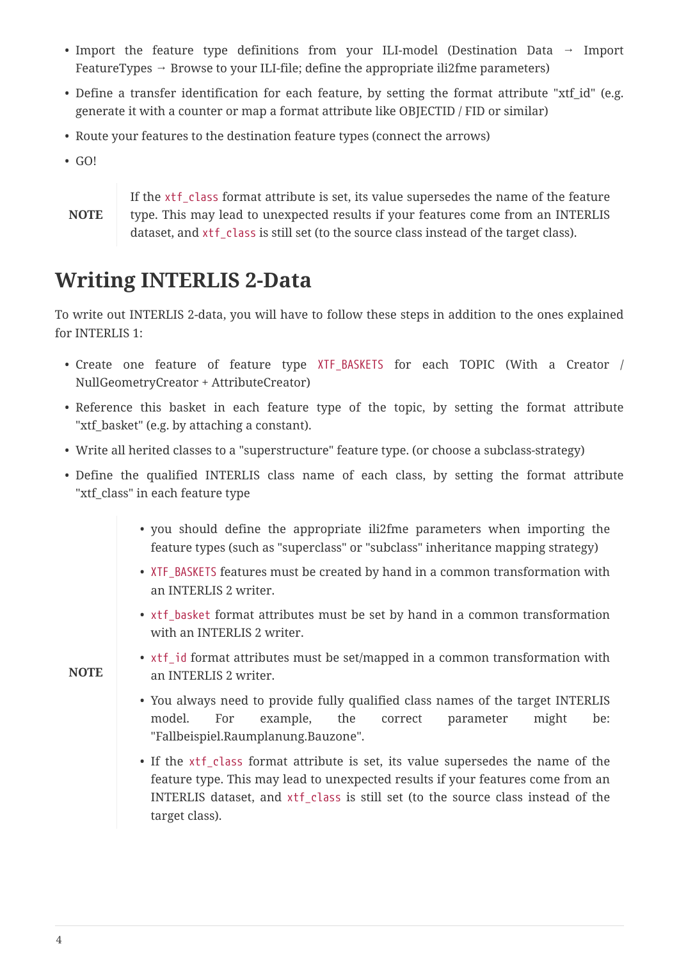- Import the feature type definitions from your ILI-model (Destination Data → Import FeatureTypes  $\rightarrow$  Browse to your ILI-file; define the appropriate ili2fme parameters)
- Define a transfer identification for each feature, by setting the format attribute "xtf\_id" (e.g. generate it with a counter or map a format attribute like OBJECTID / FID or similar)
- Route your features to the destination feature types (connect the arrows)
- GO!

**NOTE**

If the xtf class format attribute is set, its value supersedes the name of the feature type. This may lead to unexpected results if your features come from an INTERLIS dataset, and xtf class is still set (to the source class instead of the target class).

### **Writing INTERLIS 2-Data**

To write out INTERLIS 2-data, you will have to follow these steps in addition to the ones explained for INTERLIS 1:

- Create one feature of feature type XTF\_BASKETS for each TOPIC (With a Creator / NullGeometryCreator + AttributeCreator)
- Reference this basket in each feature type of the topic, by setting the format attribute "xtf\_basket" (e.g. by attaching a constant).
- Write all herited classes to a "superstructure" feature type. (or choose a subclass-strategy)
- Define the qualified INTERLIS class name of each class, by setting the format attribute "xtf\_class" in each feature type
	- you should define the appropriate ili2fme parameters when importing the feature types (such as "superclass" or "subclass" inheritance mapping strategy)
	- XTF\_BASKETS features must be created by hand in a common transformation with an INTERLIS 2 writer.
	- xtf\_basket format attributes must be set by hand in a common transformation with an INTERLIS 2 writer.
- **NOTE**
- xtf\_id format attributes must be set/mapped in a common transformation with an INTERLIS 2 writer.
- You always need to provide fully qualified class names of the target INTERLIS model. For example, the correct parameter might be: "Fallbeispiel.Raumplanung.Bauzone".
- If the xtf class format attribute is set, its value supersedes the name of the feature type. This may lead to unexpected results if your features come from an INTERLIS dataset, and xtf\_class is still set (to the source class instead of the target class).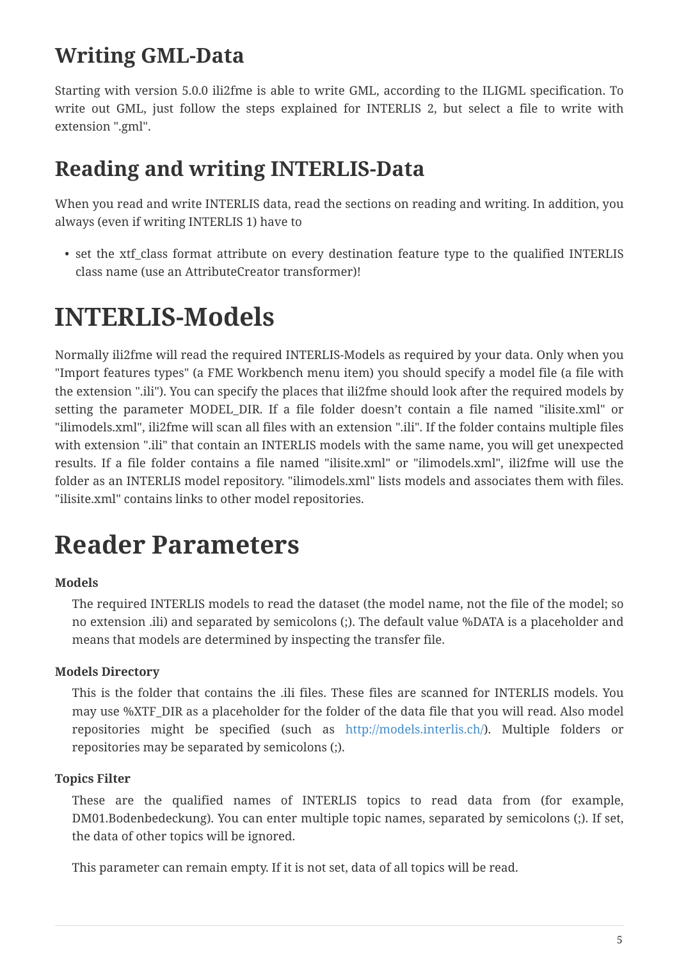### **Writing GML-Data**

Starting with version 5.0.0 ili2fme is able to write GML, according to the ILIGML specification. To write out GML, just follow the steps explained for INTERLIS 2, but select a file to write with extension ".gml".

### **Reading and writing INTERLIS-Data**

When you read and write INTERLIS data, read the sections on reading and writing. In addition, you always (even if writing INTERLIS 1) have to

• set the xtf\_class format attribute on every destination feature type to the qualified INTERLIS class name (use an AttributeCreator transformer)!

## **INTERLIS-Models**

Normally ili2fme will read the required INTERLIS-Models as required by your data. Only when you "Import features types" (a FME Workbench menu item) you should specify a model file (a file with the extension ".ili"). You can specify the places that ili2fme should look after the required models by setting the parameter MODEL\_DIR. If a file folder doesn't contain a file named "ilisite.xml" or "ilimodels.xml", ili2fme will scan all files with an extension ".ili". If the folder contains multiple files with extension ".ili" that contain an INTERLIS models with the same name, you will get unexpected results. If a file folder contains a file named "ilisite.xml" or "ilimodels.xml", ili2fme will use the folder as an INTERLIS model repository. "ilimodels.xml" lists models and associates them with files. "ilisite.xml" contains links to other model repositories.

## **Reader Parameters**

#### **Models**

The required INTERLIS models to read the dataset (the model name, not the file of the model; so no extension .ili) and separated by semicolons (;). The default value %DATA is a placeholder and means that models are determined by inspecting the transfer file.

#### **Models Directory**

This is the folder that contains the .ili files. These files are scanned for INTERLIS models. You may use %XTF\_DIR as a placeholder for the folder of the data file that you will read. Also model repositories might be specified (such as <http://models.interlis.ch/>). Multiple folders or repositories may be separated by semicolons (;).

#### **Topics Filter**

These are the qualified names of INTERLIS topics to read data from (for example, DM01.Bodenbedeckung). You can enter multiple topic names, separated by semicolons (;). If set, the data of other topics will be ignored.

This parameter can remain empty. If it is not set, data of all topics will be read.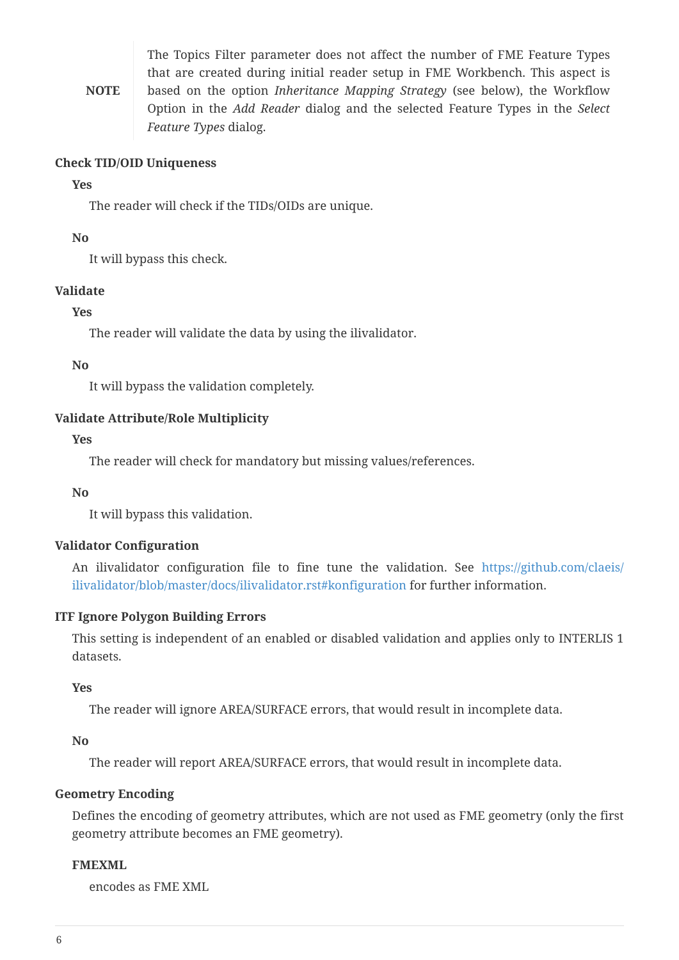**NOTE** The Topics Filter parameter does not affect the number of FME Feature Types that are created during initial reader setup in FME Workbench. This aspect is based on the option *Inheritance Mapping Strategy* (see below), the Workflow Option in the *Add Reader* dialog and the selected Feature Types in the *Select Feature Types* dialog.

#### **Check TID/OID Uniqueness**

#### **Yes**

The reader will check if the TIDs/OIDs are unique.

#### **No**

It will bypass this check.

#### **Validate**

#### **Yes**

The reader will validate the data by using the ilivalidator.

#### **No**

It will bypass the validation completely.

#### **Validate Attribute/Role Multiplicity**

#### **Yes**

The reader will check for mandatory but missing values/references.

#### **No**

It will bypass this validation.

#### **Validator Configuration**

An ilivalidator configuration file to fine tune the validation. See [https://github.com/claeis/](https://github.com/claeis/ilivalidator/blob/master/docs/ilivalidator.rst#konfiguration) [ilivalidator/blob/master/docs/ilivalidator.rst#konfiguration](https://github.com/claeis/ilivalidator/blob/master/docs/ilivalidator.rst#konfiguration) for further information.

#### **ITF Ignore Polygon Building Errors**

This setting is independent of an enabled or disabled validation and applies only to INTERLIS 1 datasets.

#### **Yes**

The reader will ignore AREA/SURFACE errors, that would result in incomplete data.

#### **No**

The reader will report AREA/SURFACE errors, that would result in incomplete data.

#### **Geometry Encoding**

Defines the encoding of geometry attributes, which are not used as FME geometry (only the first geometry attribute becomes an FME geometry).

#### **FMEXML**

encodes as FME XML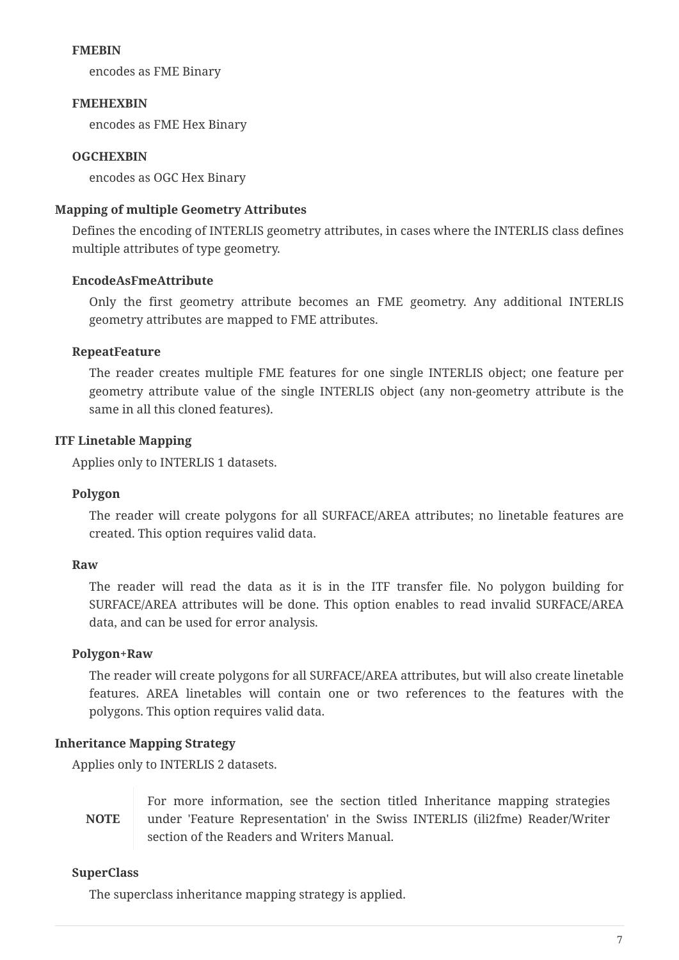#### **FMEBIN**

encodes as FME Binary

#### **FMEHEXBIN**

encodes as FME Hex Binary

#### **OGCHEXBIN**

encodes as OGC Hex Binary

#### **Mapping of multiple Geometry Attributes**

Defines the encoding of INTERLIS geometry attributes, in cases where the INTERLIS class defines multiple attributes of type geometry.

#### **EncodeAsFmeAttribute**

Only the first geometry attribute becomes an FME geometry. Any additional INTERLIS geometry attributes are mapped to FME attributes.

#### **RepeatFeature**

The reader creates multiple FME features for one single INTERLIS object; one feature per geometry attribute value of the single INTERLIS object (any non-geometry attribute is the same in all this cloned features).

#### **ITF Linetable Mapping**

Applies only to INTERLIS 1 datasets.

#### **Polygon**

The reader will create polygons for all SURFACE/AREA attributes; no linetable features are created. This option requires valid data.

#### **Raw**

The reader will read the data as it is in the ITF transfer file. No polygon building for SURFACE/AREA attributes will be done. This option enables to read invalid SURFACE/AREA data, and can be used for error analysis.

#### **Polygon+Raw**

The reader will create polygons for all SURFACE/AREA attributes, but will also create linetable features. AREA linetables will contain one or two references to the features with the polygons. This option requires valid data.

#### **Inheritance Mapping Strategy**

Applies only to INTERLIS 2 datasets.

**NOTE** For more information, see the section titled Inheritance mapping strategies under 'Feature Representation' in the Swiss INTERLIS (ili2fme) Reader/Writer section of the Readers and Writers Manual.

#### **SuperClass**

The superclass inheritance mapping strategy is applied.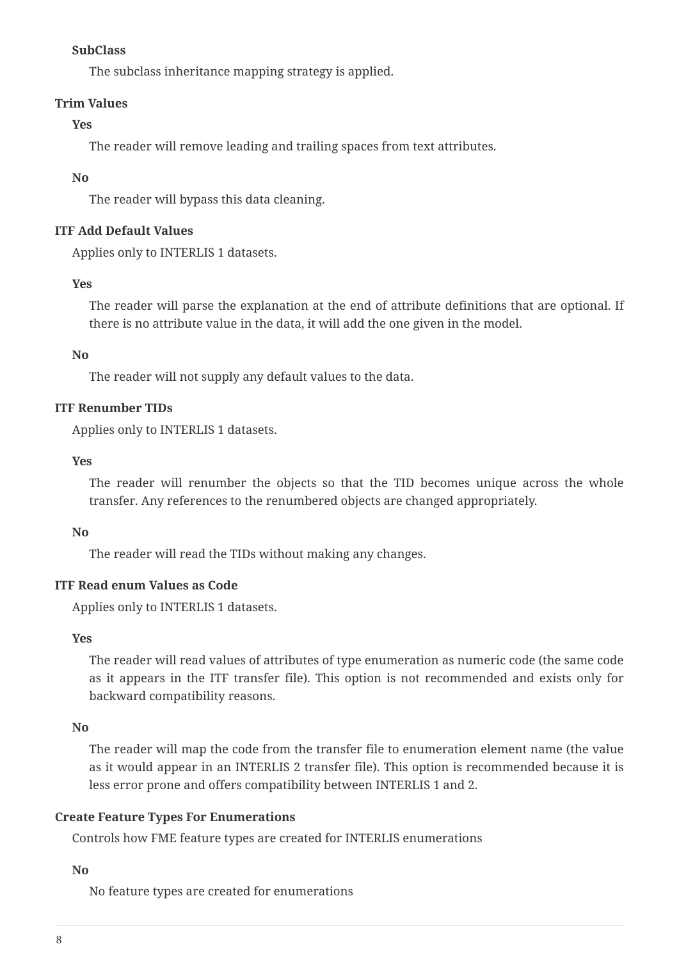#### **SubClass**

The subclass inheritance mapping strategy is applied.

#### **Trim Values**

#### **Yes**

The reader will remove leading and trailing spaces from text attributes.

#### **No**

The reader will bypass this data cleaning.

#### **ITF Add Default Values**

Applies only to INTERLIS 1 datasets.

#### **Yes**

The reader will parse the explanation at the end of attribute definitions that are optional. If there is no attribute value in the data, it will add the one given in the model.

#### **No**

The reader will not supply any default values to the data.

#### **ITF Renumber TIDs**

Applies only to INTERLIS 1 datasets.

#### **Yes**

The reader will renumber the objects so that the TID becomes unique across the whole transfer. Any references to the renumbered objects are changed appropriately.

#### **No**

The reader will read the TIDs without making any changes.

#### **ITF Read enum Values as Code**

Applies only to INTERLIS 1 datasets.

#### **Yes**

The reader will read values of attributes of type enumeration as numeric code (the same code as it appears in the ITF transfer file). This option is not recommended and exists only for backward compatibility reasons.

#### **No**

The reader will map the code from the transfer file to enumeration element name (the value as it would appear in an INTERLIS 2 transfer file). This option is recommended because it is less error prone and offers compatibility between INTERLIS 1 and 2.

#### <span id="page-7-0"></span>**Create Feature Types For Enumerations**

Controls how FME feature types are created for INTERLIS enumerations

#### **No**

No feature types are created for enumerations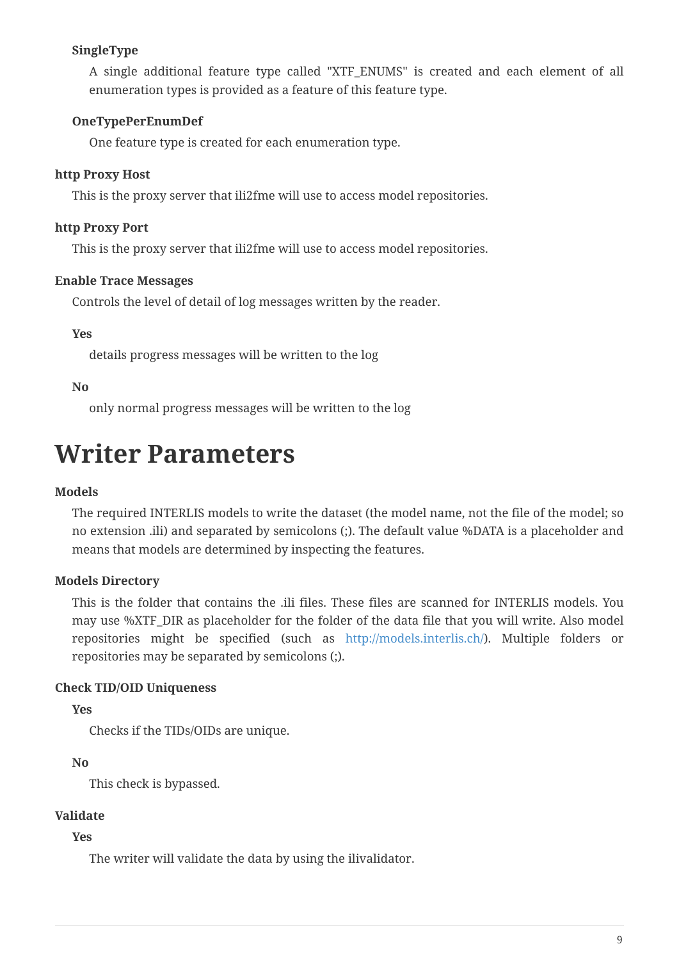#### **SingleType**

A single additional feature type called "XTF\_ENUMS" is created and each element of all enumeration types is provided as a feature of this feature type.

#### **OneTypePerEnumDef**

One feature type is created for each enumeration type.

#### **http Proxy Host**

This is the proxy server that ili2fme will use to access model repositories.

#### **http Proxy Port**

This is the proxy server that ili2fme will use to access model repositories.

#### **Enable Trace Messages**

Controls the level of detail of log messages written by the reader.

#### **Yes**

details progress messages will be written to the log

#### **No**

only normal progress messages will be written to the log

## **Writer Parameters**

#### **Models**

The required INTERLIS models to write the dataset (the model name, not the file of the model; so no extension .ili) and separated by semicolons (;). The default value %DATA is a placeholder and means that models are determined by inspecting the features.

#### **Models Directory**

This is the folder that contains the .ili files. These files are scanned for INTERLIS models. You may use %XTF\_DIR as placeholder for the folder of the data file that you will write. Also model repositories might be specified (such as <http://models.interlis.ch/>). Multiple folders or repositories may be separated by semicolons (;).

#### **Check TID/OID Uniqueness**

#### **Yes**

Checks if the TIDs/OIDs are unique.

#### **No**

This check is bypassed.

#### **Validate**

#### **Yes**

The writer will validate the data by using the ilivalidator.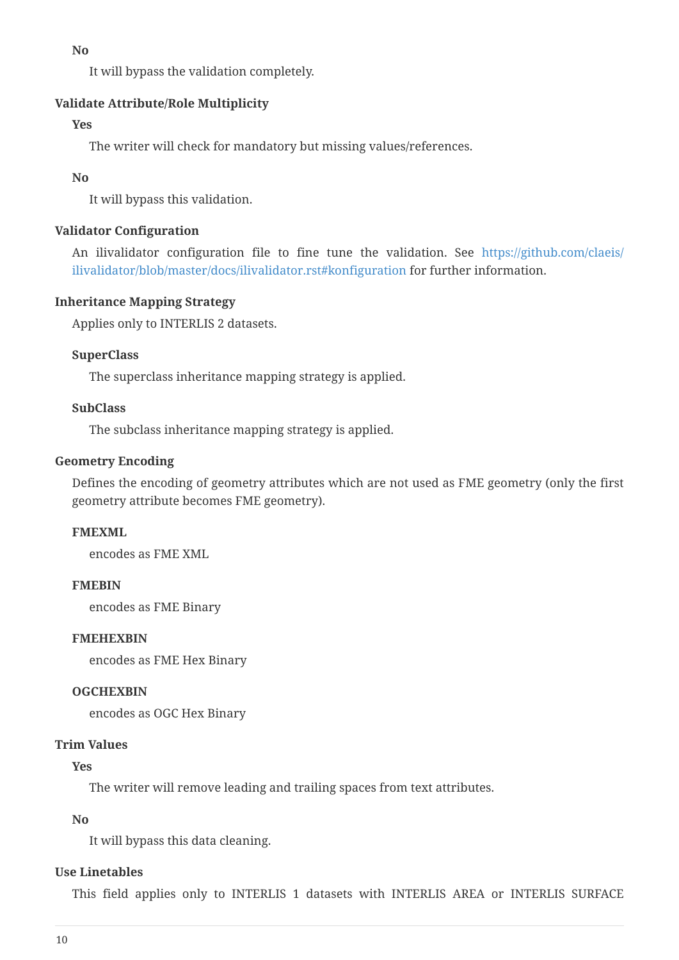**No**

It will bypass the validation completely.

#### **Validate Attribute/Role Multiplicity**

#### **Yes**

The writer will check for mandatory but missing values/references.

#### **No**

It will bypass this validation.

#### **Validator Configuration**

An ilivalidator configuration file to fine tune the validation. See [https://github.com/claeis/](https://github.com/claeis/ilivalidator/blob/master/docs/ilivalidator.rst#konfiguration) [ilivalidator/blob/master/docs/ilivalidator.rst#konfiguration](https://github.com/claeis/ilivalidator/blob/master/docs/ilivalidator.rst#konfiguration) for further information.

#### **Inheritance Mapping Strategy**

Applies only to INTERLIS 2 datasets.

#### **SuperClass**

The superclass inheritance mapping strategy is applied.

#### **SubClass**

The subclass inheritance mapping strategy is applied.

#### **Geometry Encoding**

Defines the encoding of geometry attributes which are not used as FME geometry (only the first geometry attribute becomes FME geometry).

#### **FMEXML**

encodes as FME XML

#### **FMEBIN**

encodes as FME Binary

#### **FMEHEXBIN**

encodes as FME Hex Binary

#### **OGCHEXBIN**

encodes as OGC Hex Binary

#### **Trim Values**

#### **Yes**

The writer will remove leading and trailing spaces from text attributes.

#### **No**

It will bypass this data cleaning.

#### **Use Linetables**

This field applies only to INTERLIS 1 datasets with INTERLIS AREA or INTERLIS SURFACE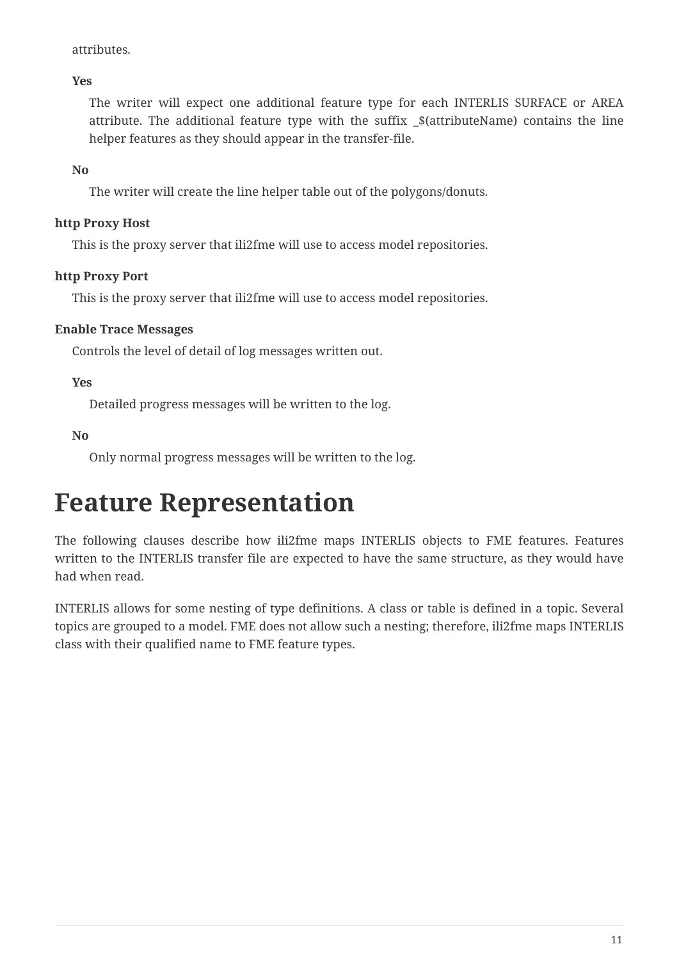attributes.

**Yes**

The writer will expect one additional feature type for each INTERLIS SURFACE or AREA attribute. The additional feature type with the suffix \_\$(attributeName) contains the line helper features as they should appear in the transfer-file.

**No**

The writer will create the line helper table out of the polygons/donuts.

#### **http Proxy Host**

This is the proxy server that ili2fme will use to access model repositories.

#### **http Proxy Port**

This is the proxy server that ili2fme will use to access model repositories.

#### **Enable Trace Messages**

Controls the level of detail of log messages written out.

**Yes**

Detailed progress messages will be written to the log.

**No**

Only normal progress messages will be written to the log.

## **Feature Representation**

The following clauses describe how ili2fme maps INTERLIS objects to FME features. Features written to the INTERLIS transfer file are expected to have the same structure, as they would have had when read.

INTERLIS allows for some nesting of type definitions. A class or table is defined in a topic. Several topics are grouped to a model. FME does not allow such a nesting; therefore, ili2fme maps INTERLIS class with their qualified name to FME feature types.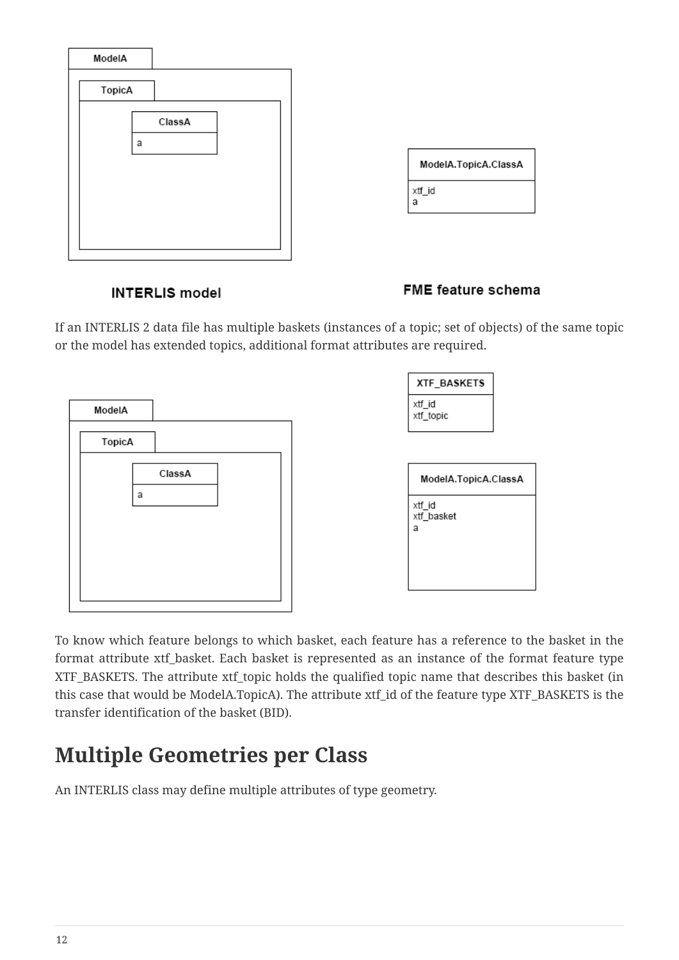

#### FME feature schema

If an INTERLIS 2 data file has multiple baskets (instances of a topic; set of objects) of the same topic or the model has extended topics, additional format attributes are required.



To know which feature belongs to which basket, each feature has a reference to the basket in the format attribute xtf\_basket. Each basket is represented as an instance of the format feature type XTF\_BASKETS. The attribute xtf\_topic holds the qualified topic name that describes this basket (in this case that would be ModelA.TopicA). The attribute xtf\_id of the feature type XTF\_BASKETS is the transfer identification of the basket (BID).

## **Multiple Geometries per Class**

An INTERLIS class may define multiple attributes of type geometry.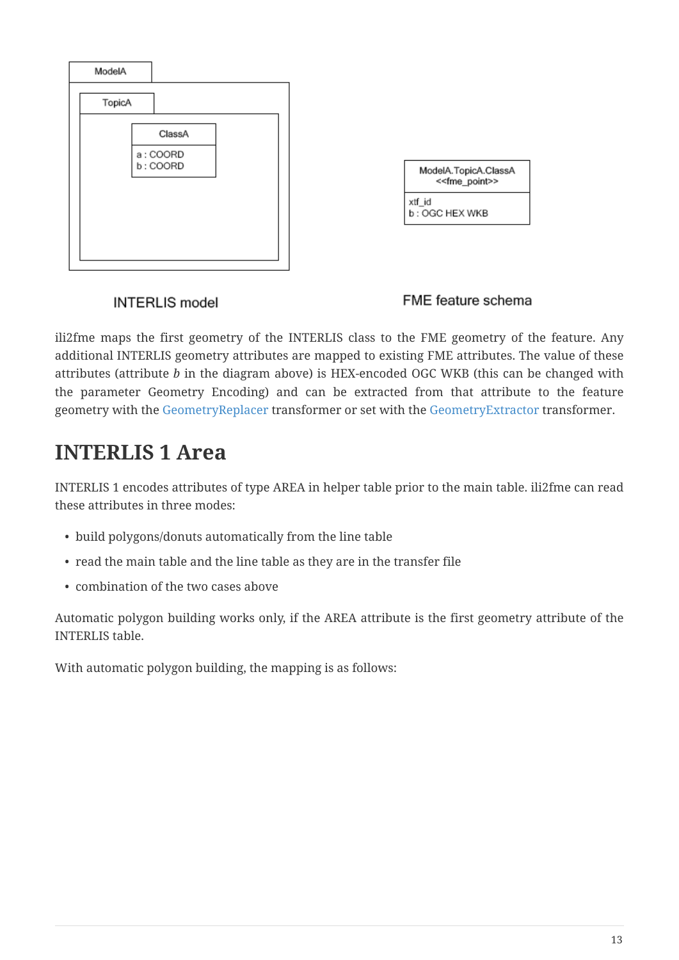

#### FME feature schema

ili2fme maps the first geometry of the INTERLIS class to the FME geometry of the feature. Any additional INTERLIS geometry attributes are mapped to existing FME attributes. The value of these attributes (attribute *b* in the diagram above) is HEX-encoded OGC WKB (this can be changed with the parameter Geometry Encoding) and can be extracted from that attribute to the feature geometry with the [GeometryReplacer](https://www.safe.com/transformers/geometry-replacer/) transformer or set with the [GeometryExtractor](https://www.safe.com/transformers/geometry-extractor/) transformer.

### **INTERLIS 1 Area**

INTERLIS 1 encodes attributes of type AREA in helper table prior to the main table. ili2fme can read these attributes in three modes:

- build polygons/donuts automatically from the line table
- read the main table and the line table as they are in the transfer file
- combination of the two cases above

Automatic polygon building works only, if the AREA attribute is the first geometry attribute of the INTERLIS table.

With automatic polygon building, the mapping is as follows: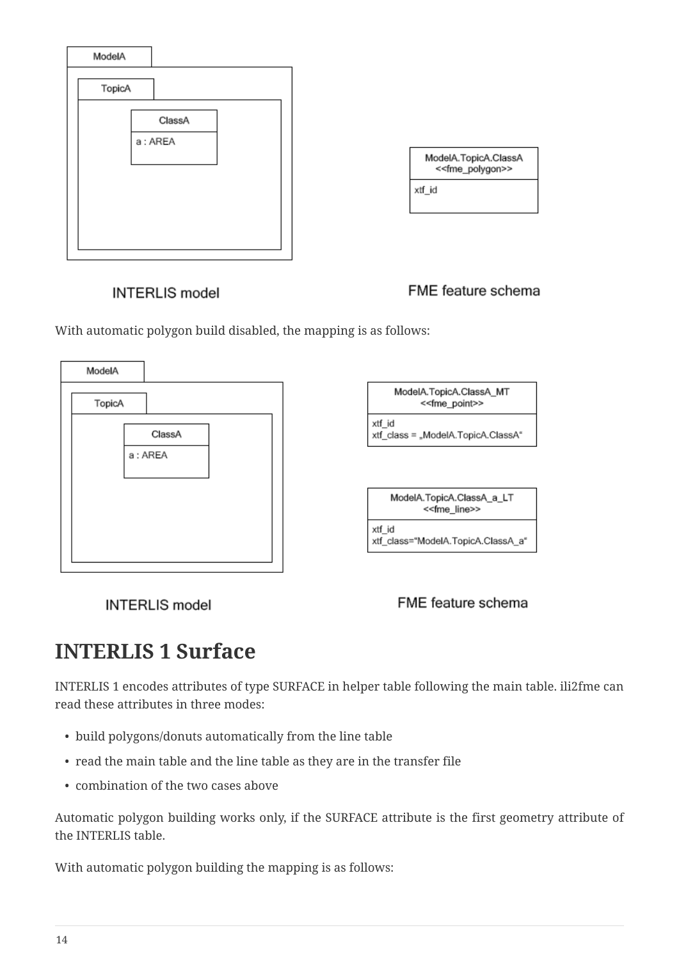

FME feature schema

With automatic polygon build disabled, the mapping is as follows:



**INTERLIS** model

FME feature schema

### **INTERLIS 1 Surface**

INTERLIS 1 encodes attributes of type SURFACE in helper table following the main table. ili2fme can read these attributes in three modes:

- build polygons/donuts automatically from the line table
- read the main table and the line table as they are in the transfer file
- combination of the two cases above

Automatic polygon building works only, if the SURFACE attribute is the first geometry attribute of the INTERLIS table.

With automatic polygon building the mapping is as follows: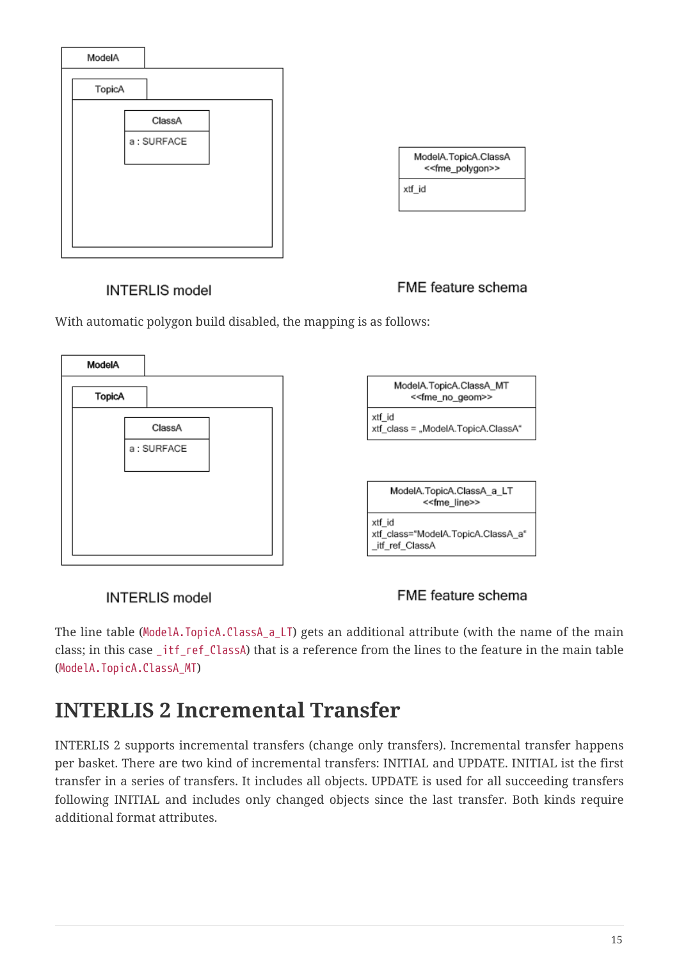![](_page_14_Figure_0.jpeg)

## ModelA.TopicA.ClassA <<fme\_polygon>>

#### **INTERLIS** model

FME feature schema

With automatic polygon build disabled, the mapping is as follows:

![](_page_14_Figure_5.jpeg)

#### **INTERLIS** model

FME feature schema

The line table (ModelA.TopicA.ClassA\_a\_LT) gets an additional attribute (with the name of the main class; in this case \_itf\_ref\_ClassA) that is a reference from the lines to the feature in the main table (ModelA.TopicA.ClassA\_MT)

### **INTERLIS 2 Incremental Transfer**

INTERLIS 2 supports incremental transfers (change only transfers). Incremental transfer happens per basket. There are two kind of incremental transfers: INITIAL and UPDATE. INITIAL ist the first transfer in a series of transfers. It includes all objects. UPDATE is used for all succeeding transfers following INITIAL and includes only changed objects since the last transfer. Both kinds require additional format attributes.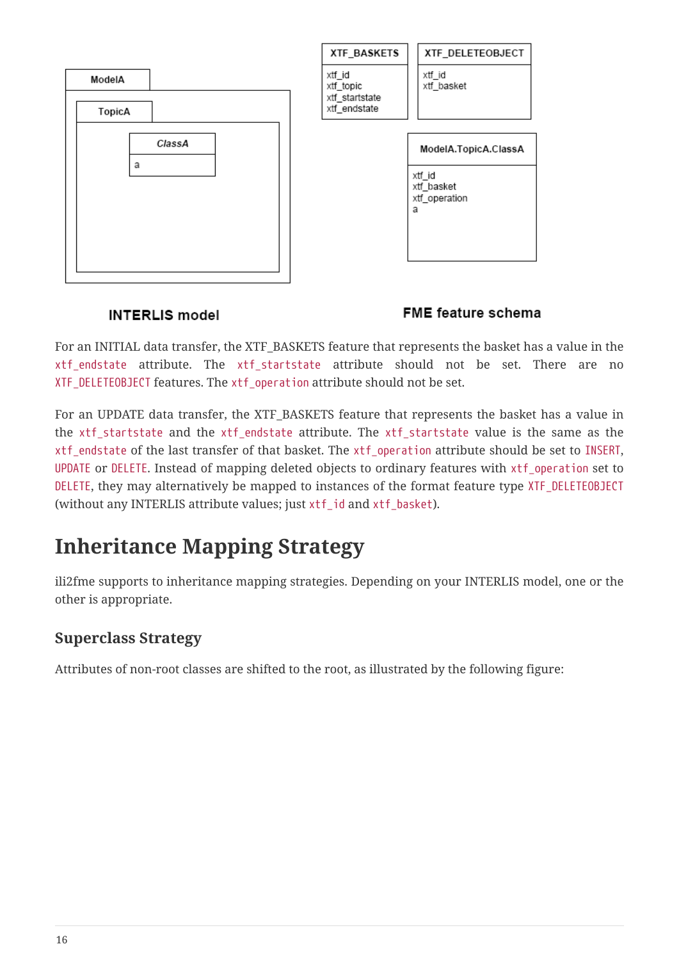|             | XTF_BASKETS                    | XTF_DELETEOBJECT                                                   |
|-------------|--------------------------------|--------------------------------------------------------------------|
| ModelA      | xtf_id<br>xtf_topic            | xtf_id<br>xtf_basket                                               |
| TopicA      | xtf_startstate<br>xtf_endstate |                                                                    |
| ClassA<br>a |                                | ModelA.TopicA.ClassA<br>xtf_id<br>xtf_basket<br>xtf_operation<br>a |
|             |                                |                                                                    |

#### FME feature schema

For an INITIAL data transfer, the XTF\_BASKETS feature that represents the basket has a value in the xtf\_endstate attribute. The xtf\_startstate attribute should not be set. There are no XTF\_DELETEOBJECT features. The xtf\_operation attribute should not be set.

For an UPDATE data transfer, the XTF\_BASKETS feature that represents the basket has a value in the xtf\_startstate and the xtf\_endstate attribute. The xtf\_startstate value is the same as the xtf\_endstate of the last transfer of that basket. The xtf\_operation attribute should be set to INSERT, UPDATE or DELETE. Instead of mapping deleted objects to ordinary features with xtf\_operation set to DELETE, they may alternatively be mapped to instances of the format feature type XTF\_DELETEOBJECT (without any INTERLIS attribute values; just xtf\_id and xtf\_basket).

## **Inheritance Mapping Strategy**

ili2fme supports to inheritance mapping strategies. Depending on your INTERLIS model, one or the other is appropriate.

#### **Superclass Strategy**

Attributes of non-root classes are shifted to the root, as illustrated by the following figure: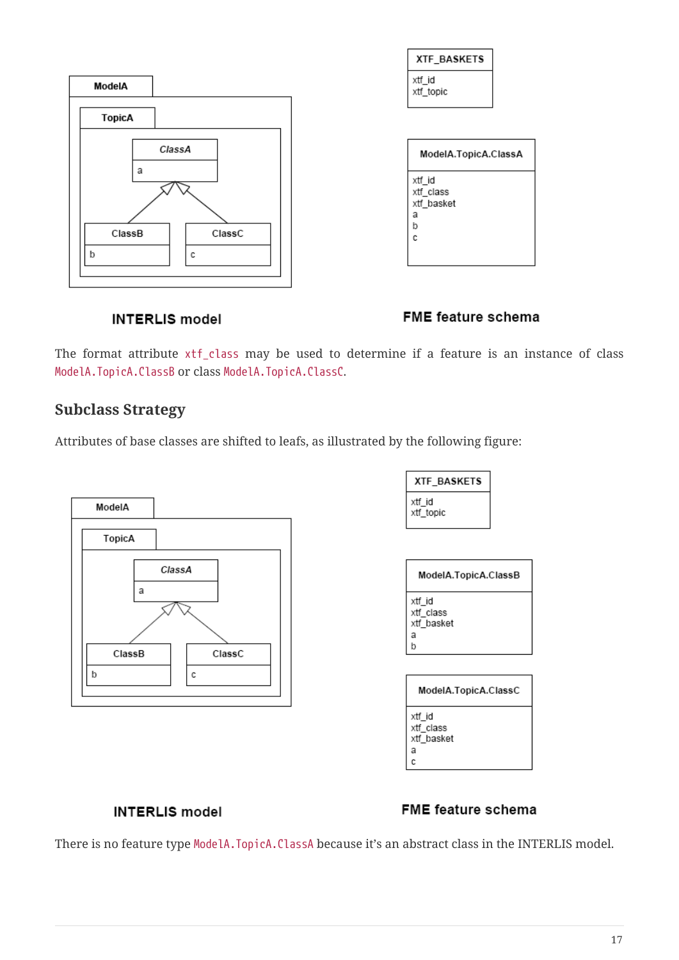![](_page_16_Figure_0.jpeg)

#### FME feature schema

The format attribute xtf\_class may be used to determine if a feature is an instance of class ModelA.TopicA.ClassB or class ModelA.TopicA.ClassC.

#### **Subclass Strategy**

Attributes of base classes are shifted to leafs, as illustrated by the following figure:

![](_page_16_Figure_6.jpeg)

| XTF BASKETS         |
|---------------------|
| xtf id<br>xtf_topic |

| ModelA.TopicA.ClassB                        |
|---------------------------------------------|
| xtf id<br>xtf class<br>xtf basket<br>a<br>b |
|                                             |

| ModelA.TopicA.ClassC                   |  |  |
|----------------------------------------|--|--|
| xtf id<br>xtf class<br>xtf basket<br>а |  |  |

#### **INTERLIS** model

#### FME feature schema

There is no feature type ModelA.TopicA.ClassA because it's an abstract class in the INTERLIS model.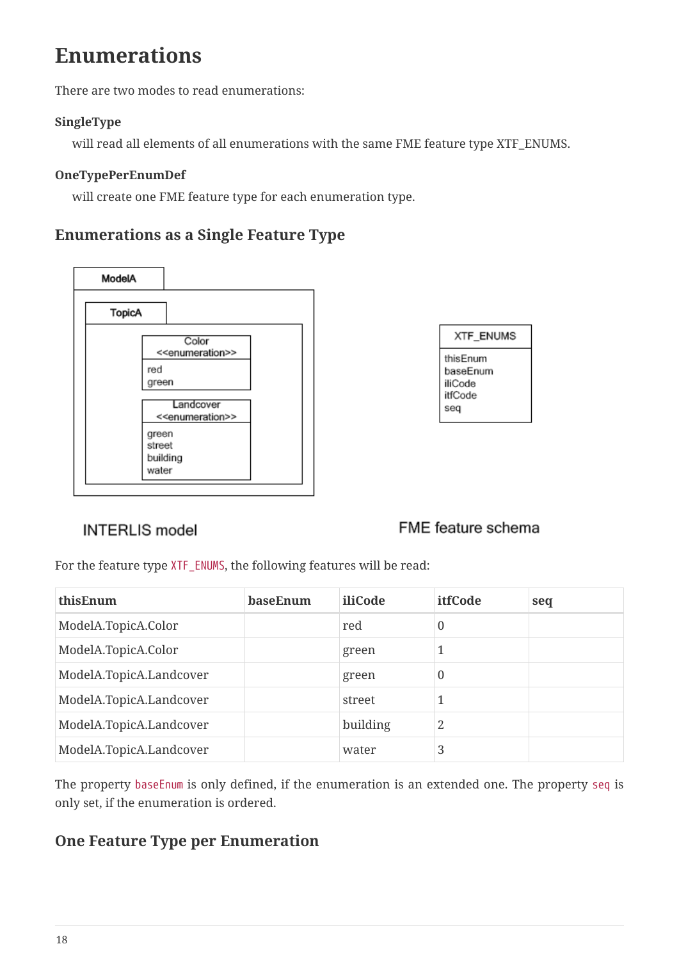## **Enumerations**

There are two modes to read enumerations:

#### **SingleType**

will read all elements of all enumerations with the same FME feature type XTF\_ENUMS.

#### **OneTypePerEnumDef**

will create one FME feature type for each enumeration type.

#### **Enumerations as a Single Feature Type**

![](_page_17_Figure_7.jpeg)

| XTF ENUMS                                         |
|---------------------------------------------------|
| thisEnum<br>baseEnum<br>iliCode<br>itfCode<br>seq |

#### **INTERLIS** model

#### FME feature schema

For the feature type XTF\_ENUMS, the following features will be read:

| thisEnum                | baseEnum | iliCode  | itfCode  | seq |
|-------------------------|----------|----------|----------|-----|
| ModelA.TopicA.Color     |          | red      | 0        |     |
| ModelA.TopicA.Color     |          | green    | 1        |     |
| ModelA.TopicA.Landcover |          | green    | $\theta$ |     |
| ModelA.TopicA.Landcover |          | street   |          |     |
| ModelA.TopicA.Landcover |          | building | 2        |     |
| ModelA.TopicA.Landcover |          | water    | 3        |     |

The property baseEnum is only defined, if the enumeration is an extended one. The property seq is only set, if the enumeration is ordered.

#### **One Feature Type per Enumeration**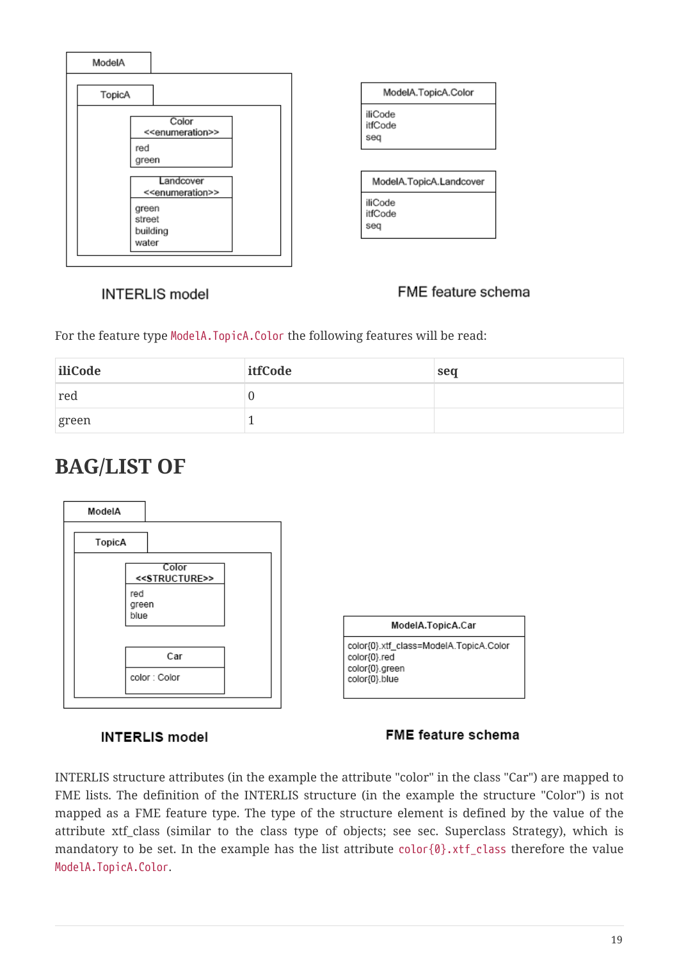![](_page_18_Figure_0.jpeg)

| ModelA.TopicA.Color       |
|---------------------------|
| iliCode<br>itfCode<br>seq |
|                           |
| ModelA.TopicA.Landcover   |
| iliCode<br>itfCode<br>sea |

#### FME feature schema

For the feature type ModelA.TopicA.Color the following features will be read:

| iliCode | itfCode | seq |
|---------|---------|-----|
| red     |         |     |
| green   |         |     |

### **BAG/LIST OF**

![](_page_18_Figure_7.jpeg)

#### **INTERLIS** model

#### FME feature schema

INTERLIS structure attributes (in the example the attribute "color" in the class "Car") are mapped to FME lists. The definition of the INTERLIS structure (in the example the structure "Color") is not mapped as a FME feature type. The type of the structure element is defined by the value of the attribute xtf\_class (similar to the class type of objects; see sec. Superclass Strategy), which is mandatory to be set. In the example has the list attribute color{0}.xtf\_class therefore the value ModelA.TopicA.Color.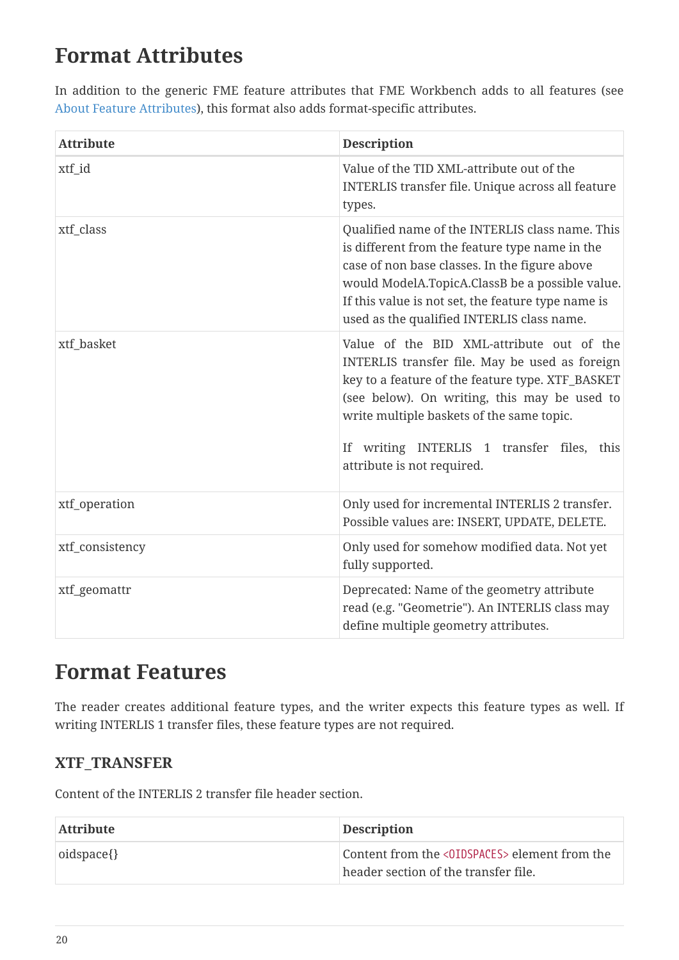## **Format Attributes**

In addition to the generic FME feature attributes that FME Workbench adds to all features (see [About Feature Attributes](https://docs.safe.com/fme/html/FME_Desktop_Documentation/FME_ReadersWriters/aboutFeatures/feature-type-attributes-about.htm)), this format also adds format-specific attributes.

| <b>Attribute</b> | <b>Description</b>                                                                                                                                                                                                                                                                                                       |
|------------------|--------------------------------------------------------------------------------------------------------------------------------------------------------------------------------------------------------------------------------------------------------------------------------------------------------------------------|
| xtf_id           | Value of the TID XML-attribute out of the<br>INTERLIS transfer file. Unique across all feature<br>types.                                                                                                                                                                                                                 |
| xtf_class        | Qualified name of the INTERLIS class name. This<br>is different from the feature type name in the<br>case of non base classes. In the figure above<br>would ModelA.TopicA.ClassB be a possible value.<br>If this value is not set, the feature type name is<br>used as the qualified INTERLIS class name.                |
| xtf_basket       | Value of the BID XML-attribute out of the<br>INTERLIS transfer file. May be used as foreign<br>key to a feature of the feature type. XTF_BASKET<br>(see below). On writing, this may be used to<br>write multiple baskets of the same topic.<br>If writing INTERLIS 1 transfer files, this<br>attribute is not required. |
| xtf_operation    | Only used for incremental INTERLIS 2 transfer.<br>Possible values are: INSERT, UPDATE, DELETE.                                                                                                                                                                                                                           |
| xtf_consistency  | Only used for somehow modified data. Not yet<br>fully supported.                                                                                                                                                                                                                                                         |
| xtf_geomattr     | Deprecated: Name of the geometry attribute<br>read (e.g. "Geometrie"). An INTERLIS class may<br>define multiple geometry attributes.                                                                                                                                                                                     |

### **Format Features**

The reader creates additional feature types, and the writer expects this feature types as well. If writing INTERLIS 1 transfer files, these feature types are not required.

#### **XTF\_TRANSFER**

Content of the INTERLIS 2 transfer file header section.

| <b>Attribute</b> | <b>Description</b>                                                                    |
|------------------|---------------------------------------------------------------------------------------|
| oidspace{}       | Content from the <0IDSPACES> element from the<br>header section of the transfer file. |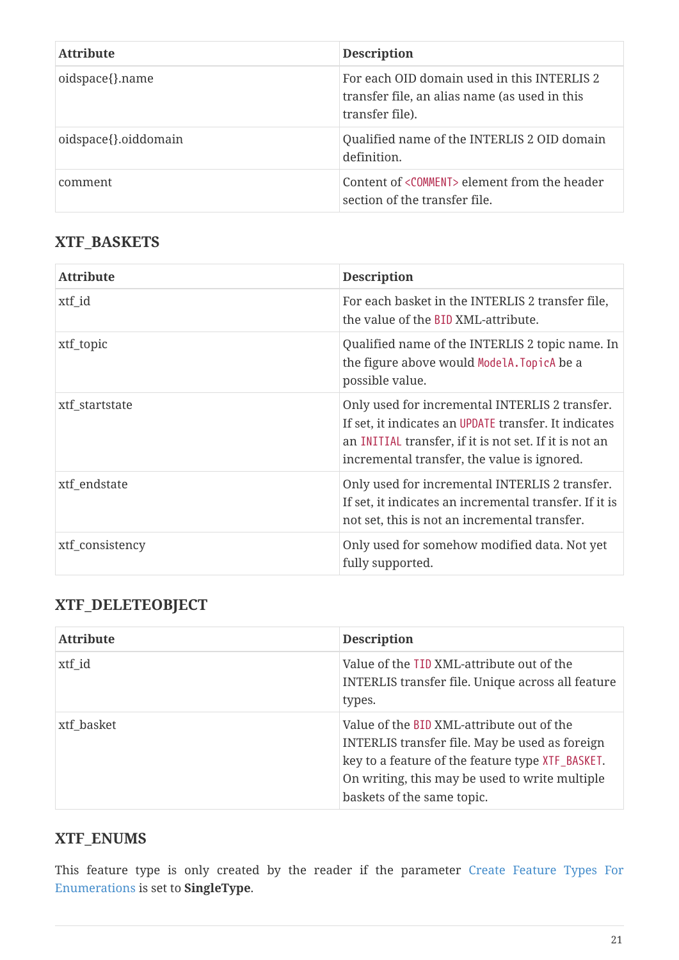| <b>Attribute</b>     | <b>Description</b>                                                                                              |
|----------------------|-----------------------------------------------------------------------------------------------------------------|
| oidspace{}.name      | For each OID domain used in this INTERLIS 2<br>transfer file, an alias name (as used in this<br>transfer file). |
| oidspace{}.oiddomain | Qualified name of the INTERLIS 2 OID domain<br>definition.                                                      |
| comment              | Content of <comment> element from the header<br/>section of the transfer file.</comment>                        |

#### **XTF\_BASKETS**

| <b>Attribute</b> | <b>Description</b>                                                                                                                                                                                               |
|------------------|------------------------------------------------------------------------------------------------------------------------------------------------------------------------------------------------------------------|
| xtf_id           | For each basket in the INTERLIS 2 transfer file,<br>the value of the BID XML-attribute.                                                                                                                          |
| xtf_topic        | Qualified name of the INTERLIS 2 topic name. In<br>the figure above would ModelA. TopicA be a<br>possible value.                                                                                                 |
| xtf_startstate   | Only used for incremental INTERLIS 2 transfer.<br>If set, it indicates an UPDATE transfer. It indicates<br>an INITIAL transfer, if it is not set. If it is not an<br>incremental transfer, the value is ignored. |
| xtf_endstate     | Only used for incremental INTERLIS 2 transfer.<br>If set, it indicates an incremental transfer. If it is<br>not set, this is not an incremental transfer.                                                        |
| xtf_consistency  | Only used for somehow modified data. Not yet<br>fully supported.                                                                                                                                                 |

### **XTF\_DELETEOBJECT**

| <b>Attribute</b> | <b>Description</b>                                                                                                                                                                                                              |
|------------------|---------------------------------------------------------------------------------------------------------------------------------------------------------------------------------------------------------------------------------|
| xtf_id           | Value of the TID XML-attribute out of the<br>INTERLIS transfer file. Unique across all feature<br>types.                                                                                                                        |
| xtf basket       | Value of the BID XML-attribute out of the<br>INTERLIS transfer file. May be used as foreign<br>key to a feature of the feature type XTF_BASKET.<br>On writing, this may be used to write multiple<br>baskets of the same topic. |

#### **XTF\_ENUMS**

This feature type is only created by the reader if the parameter [Create Feature Types For](#page-7-0) [Enumerations](#page-7-0) is set to **SingleType**.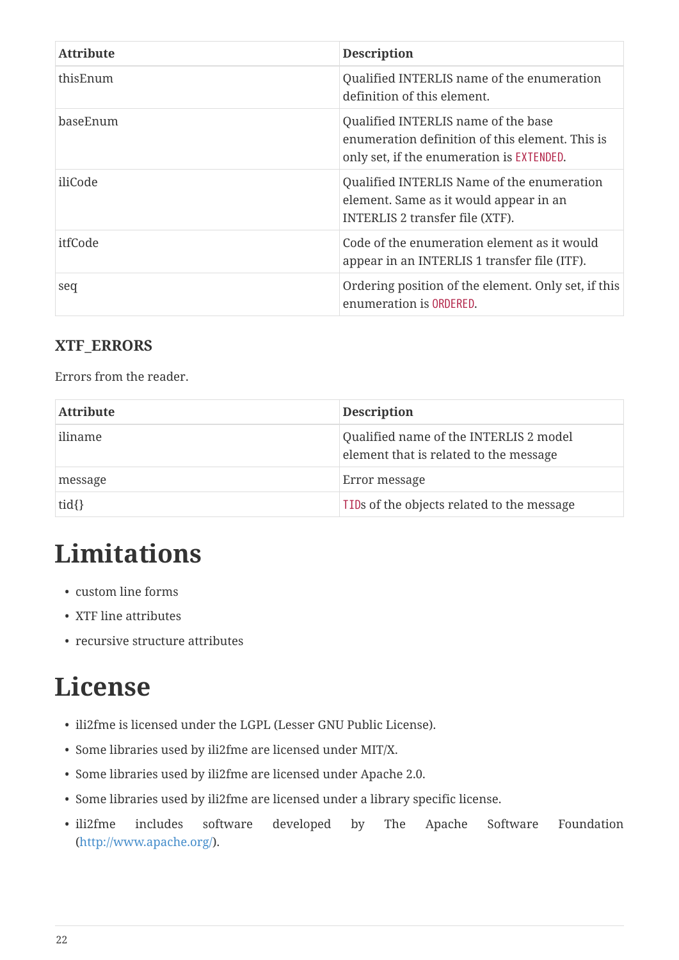| <b>Attribute</b> | <b>Description</b>                                                                                                                  |
|------------------|-------------------------------------------------------------------------------------------------------------------------------------|
| thisEnum         | Qualified INTERLIS name of the enumeration<br>definition of this element.                                                           |
| baseEnum         | Qualified INTERLIS name of the base<br>enumeration definition of this element. This is<br>only set, if the enumeration is EXTENDED. |
| iliCode          | Qualified INTERLIS Name of the enumeration<br>element. Same as it would appear in an<br>INTERLIS 2 transfer file (XTF).             |
| itfCode          | Code of the enumeration element as it would<br>appear in an INTERLIS 1 transfer file (ITF).                                         |
| seq              | Ordering position of the element. Only set, if this<br>enumeration is ORDERED.                                                      |

#### **XTF\_ERRORS**

Errors from the reader.

| <b>Attribute</b> | <b>Description</b>                                                               |
|------------------|----------------------------------------------------------------------------------|
| iliname          | Qualified name of the INTERLIS 2 model<br>element that is related to the message |
| message          | Error message                                                                    |
| $tid{}$          | TIDs of the objects related to the message                                       |

# **Limitations**

- custom line forms
- XTF line attributes
- recursive structure attributes

## **License**

- ili2fme is licensed under the LGPL (Lesser GNU Public License).
- Some libraries used by ili2fme are licensed under MIT/X.
- Some libraries used by ili2fme are licensed under Apache 2.0.
- Some libraries used by ili2fme are licensed under a library specific license.
- ili2fme includes software developed by The Apache Software Foundation (<http://www.apache.org/>).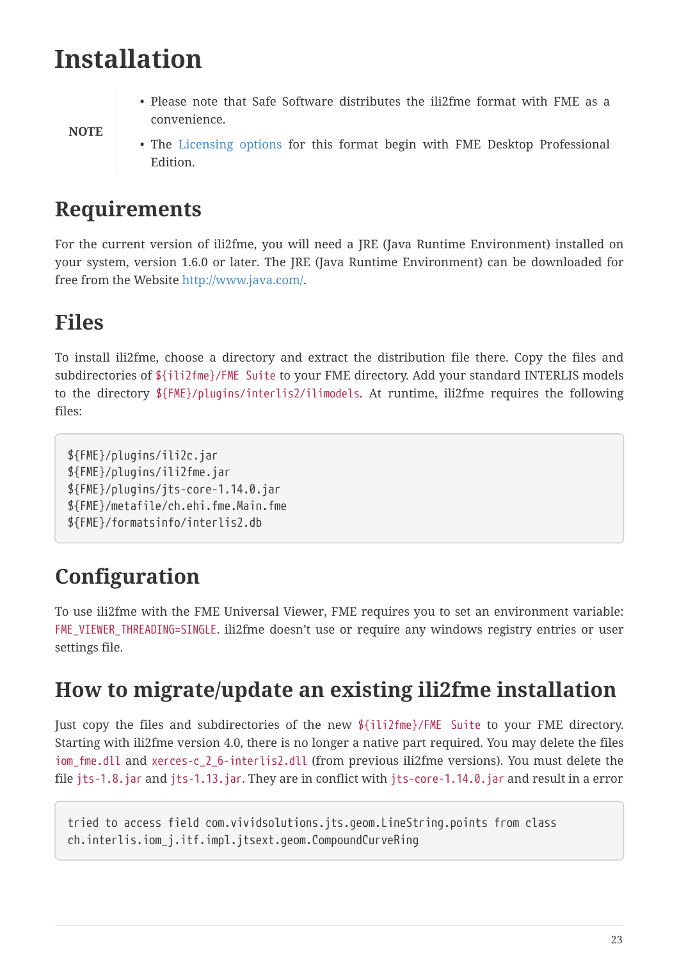## **Installation**

• Please note that Safe Software distributes the ili2fme format with FME as a convenience.

**NOTE**

• The [Licensing options](https://www.safe.com/pricing/fme-desktop/) for this format begin with FME Desktop Professional Edition.

### **Requirements**

For the current version of ili2fme, you will need a JRE (Java Runtime Environment) installed on your system, version 1.6.0 or later. The JRE (Java Runtime Environment) can be downloaded for free from the Website <http://www.java.com/>.

### **Files**

To install ili2fme, choose a directory and extract the distribution file there. Copy the files and subdirectories of \${ili2fme}/FME Suite to your FME directory. Add your standard INTERLIS models to the directory \${FME}/plugins/interlis2/ilimodels. At runtime, ili2fme requires the following files:

```
${FME}/plugins/ili2c.jar
${FME}/plugins/ili2fme.jar
${FME}/plugins/jts-core-1.14.0.jar
${FME}/metafile/ch.ehi.fme.Main.fme
${FME}/formatsinfo/interlis2.db
```
## **Configuration**

To use ili2fme with the FME Universal Viewer, FME requires you to set an environment variable: FME\_VIEWER\_THREADING=SINGLE. ili2fme\_doesn't use or require any windows registry entries or user settings file.

### **How to migrate/update an existing ili2fme installation**

Just copy the files and subdirectories of the new \${ili2fme}/FME Suite to your FME directory. Starting with ili2fme version 4.0, there is no longer a native part required. You may delete the files iom\_fme.dll and xerces-c\_2\_6-interlis2.dll (from previous ili2fme versions). You must delete the file jts-1.8.jar and jts-1.13.jar. They are in conflict with jts-core-1.14.0.jar and result in a error

```
tried to access field com.vividsolutions.jts.geom.LineString.points from class
ch.interlis.iom_j.itf.impl.jtsext.geom.CompoundCurveRing
```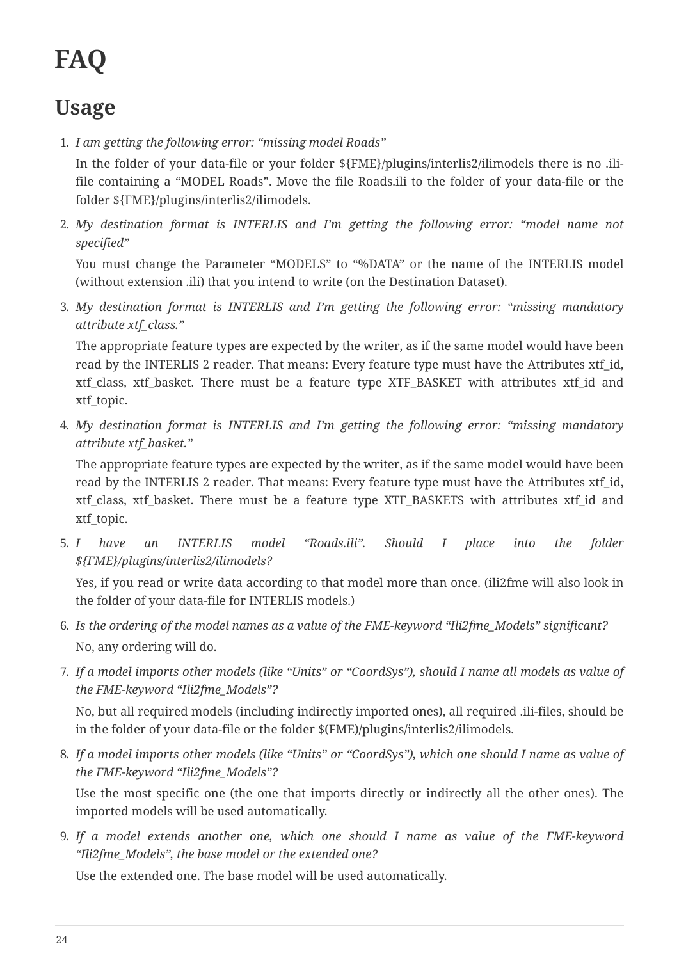# **FAQ**

## **Usage**

1. *I am getting the following error: "missing model Roads"*

In the folder of your data-file or your folder \${FME}/plugins/interlis2/ilimodels there is no .ilifile containing a "MODEL Roads". Move the file Roads.ili to the folder of your data-file or the folder \${FME}/plugins/interlis2/ilimodels.

2. *My destination format is INTERLIS and I'm getting the following error: "model name not specified"*

You must change the Parameter "MODELS" to "%DATA" or the name of the INTERLIS model (without extension .ili) that you intend to write (on the Destination Dataset).

3. *My destination format is INTERLIS and I'm getting the following error: "missing mandatory attribute xtf\_class."*

The appropriate feature types are expected by the writer, as if the same model would have been read by the INTERLIS 2 reader. That means: Every feature type must have the Attributes xtf id, xtf class, xtf basket. There must be a feature type XTF BASKET with attributes xtf id and xtf topic.

4. *My destination format is INTERLIS and I'm getting the following error: "missing mandatory attribute xtf\_basket."*

The appropriate feature types are expected by the writer, as if the same model would have been read by the INTERLIS 2 reader. That means: Every feature type must have the Attributes xtf\_id, xtf\_class, xtf\_basket. There must be a feature type XTF\_BASKETS with attributes xtf\_id and xtf topic.

5. *I have an INTERLIS model "Roads.ili". Should I place into the folder \${FME}/plugins/interlis2/ilimodels?*

Yes, if you read or write data according to that model more than once. (ili2fme will also look in the folder of your data-file for INTERLIS models.)

- 6. *Is the ordering of the model names as a value of the FME-keyword "Ili2fme\_Models" significant?* No, any ordering will do.
- 7. *If a model imports other models (like "Units" or "CoordSys"), should I name all models as value of the FME-keyword "Ili2fme\_Models"?*

No, but all required models (including indirectly imported ones), all required .ili-files, should be in the folder of your data-file or the folder \$(FME)/plugins/interlis2/ilimodels.

8. *If a model imports other models (like "Units" or "CoordSys"), which one should I name as value of the FME-keyword "Ili2fme\_Models"?*

Use the most specific one (the one that imports directly or indirectly all the other ones). The imported models will be used automatically.

9. *If a model extends another one, which one should I name as value of the FME-keyword "Ili2fme\_Models", the base model or the extended one?*

Use the extended one. The base model will be used automatically.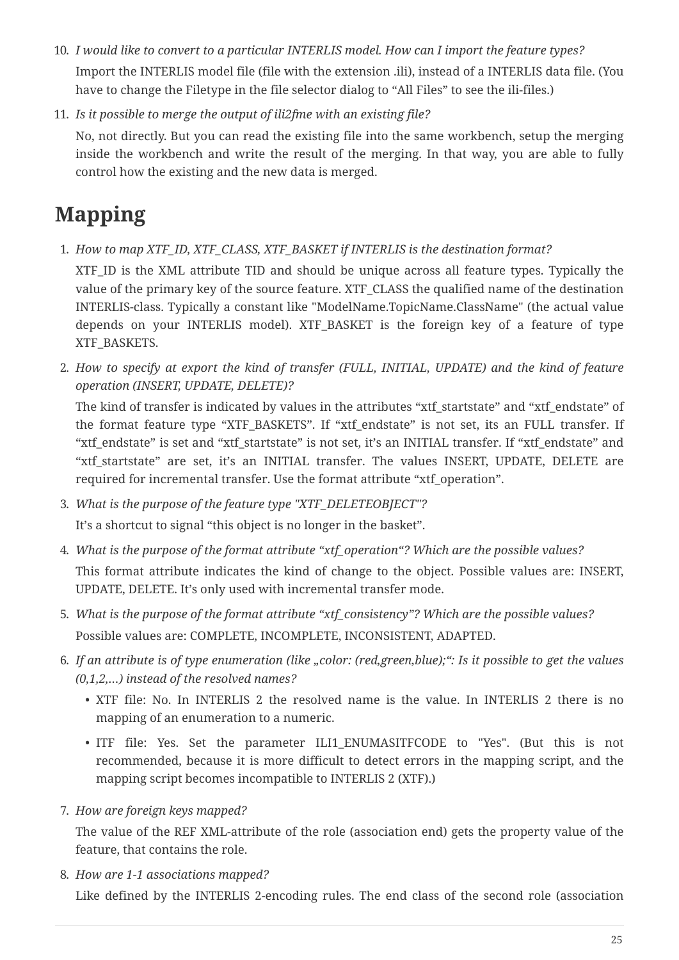- 10. *I would like to convert to a particular INTERLIS model. How can I import the feature types?* Import the INTERLIS model file (file with the extension .ili), instead of a INTERLIS data file. (You have to change the Filetype in the file selector dialog to "All Files" to see the ili-files.)
- 11. *Is it possible to merge the output of ili2fme with an existing file?*

No, not directly. But you can read the existing file into the same workbench, setup the merging inside the workbench and write the result of the merging. In that way, you are able to fully control how the existing and the new data is merged.

## **Mapping**

1. *How to map XTF\_ID, XTF\_CLASS, XTF\_BASKET if INTERLIS is the destination format?*

XTF ID is the XML attribute TID and should be unique across all feature types. Typically the value of the primary key of the source feature. XTF\_CLASS the qualified name of the destination INTERLIS-class. Typically a constant like "ModelName.TopicName.ClassName" (the actual value depends on your INTERLIS model). XTF\_BASKET is the foreign key of a feature of type XTF\_BASKETS.

2. *How to specify at export the kind of transfer (FULL, INITIAL, UPDATE) and the kind of feature operation (INSERT, UPDATE, DELETE)?*

The kind of transfer is indicated by values in the attributes "xtf\_startstate" and "xtf\_endstate" of the format feature type "XTF\_BASKETS". If "xtf\_endstate" is not set, its an FULL transfer. If "xtf\_endstate" is set and "xtf\_startstate" is not set, it's an INITIAL transfer. If "xtf\_endstate" and "xtf startstate" are set, it's an INITIAL transfer. The values INSERT, UPDATE, DELETE are required for incremental transfer. Use the format attribute "xtf\_operation".

- 3. *What is the purpose of the feature type "XTF\_DELETEOBJECT"?* It's a shortcut to signal "this object is no longer in the basket".
- 4. *What is the purpose of the format attribute "xtf\_operation"? Which are the possible values?* This format attribute indicates the kind of change to the object. Possible values are: INSERT, UPDATE, DELETE. It's only used with incremental transfer mode.
- 5. *What is the purpose of the format attribute "xtf\_consistency"? Which are the possible values?* Possible values are: COMPLETE, INCOMPLETE, INCONSISTENT, ADAPTED.
- 6. *If an attribute is of type enumeration (like "color: (red,green,blue);": Is it possible to get the values (0,1,2,…) instead of the resolved names?*
	- XTF file: No. In INTERLIS 2 the resolved name is the value. In INTERLIS 2 there is no mapping of an enumeration to a numeric.
	- ITF file: Yes. Set the parameter ILI1 ENUMASITFCODE to "Yes". (But this is not recommended, because it is more difficult to detect errors in the mapping script, and the mapping script becomes incompatible to INTERLIS 2 (XTF).)
- 7. *How are foreign keys mapped?*

The value of the REF XML-attribute of the role (association end) gets the property value of the feature, that contains the role.

8. *How are 1-1 associations mapped?*

Like defined by the INTERLIS 2-encoding rules. The end class of the second role (association